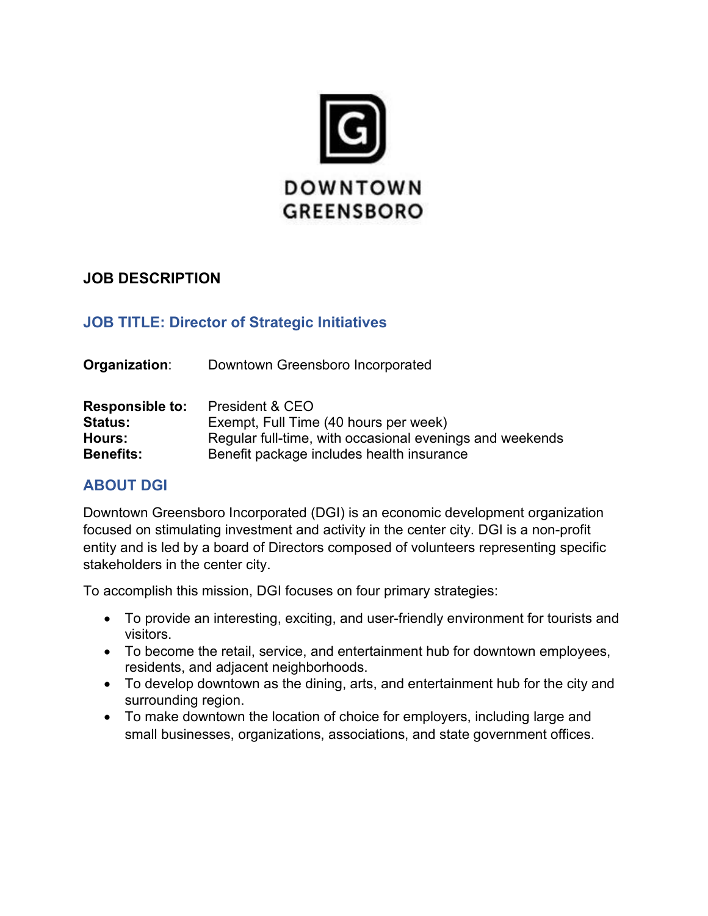

# **JOB DESCRIPTION**

# **JOB TITLE: Director of Strategic Initiatives**

**Organization:** Downtown Greensboro Incorporated

| <b>Responsible to:</b> | President & CEO                                          |
|------------------------|----------------------------------------------------------|
| <b>Status:</b>         | Exempt, Full Time (40 hours per week)                    |
| Hours:                 | Regular full-time, with occasional evenings and weekends |
| <b>Benefits:</b>       | Benefit package includes health insurance                |

# **ABOUT DGI**

Downtown Greensboro Incorporated (DGI) is an economic development organization focused on stimulating investment and activity in the center city. DGI is a non-profit entity and is led by a board of Directors composed of volunteers representing specific stakeholders in the center city.

To accomplish this mission, DGI focuses on four primary strategies:

- To provide an interesting, exciting, and user-friendly environment for tourists and visitors.
- To become the retail, service, and entertainment hub for downtown employees, residents, and adjacent neighborhoods.
- To develop downtown as the dining, arts, and entertainment hub for the city and surrounding region.
- To make downtown the location of choice for employers, including large and small businesses, organizations, associations, and state government offices.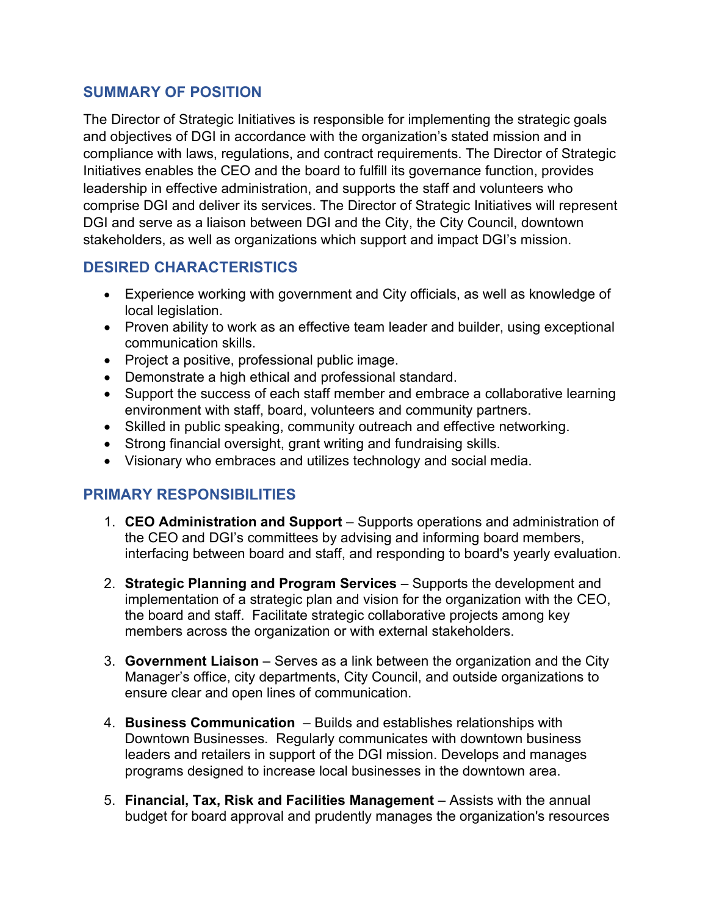### **SUMMARY OF POSITION**

The Director of Strategic Initiatives is responsible for implementing the strategic goals and objectives of DGI in accordance with the organization's stated mission and in compliance with laws, regulations, and contract requirements. The Director of Strategic Initiatives enables the CEO and the board to fulfill its governance function, provides leadership in effective administration, and supports the staff and volunteers who comprise DGI and deliver its services. The Director of Strategic Initiatives will represent DGI and serve as a liaison between DGI and the City, the City Council, downtown stakeholders, as well as organizations which support and impact DGI's mission.

### **DESIRED CHARACTERISTICS**

- Experience working with government and City officials, as well as knowledge of local legislation.
- Proven ability to work as an effective team leader and builder, using exceptional communication skills.
- Project a positive, professional public image.
- Demonstrate a high ethical and professional standard.
- Support the success of each staff member and embrace a collaborative learning environment with staff, board, volunteers and community partners.
- Skilled in public speaking, community outreach and effective networking.
- Strong financial oversight, grant writing and fundraising skills.
- Visionary who embraces and utilizes technology and social media.

# **PRIMARY RESPONSIBILITIES**

- 1. **CEO Administration and Support** Supports operations and administration of the CEO and DGI's committees by advising and informing board members, interfacing between board and staff, and responding to board's yearly evaluation.
- 2. **Strategic Planning and Program Services** Supports the development and implementation of a strategic plan and vision for the organization with the CEO, the board and staff. Facilitate strategic collaborative projects among key members across the organization or with external stakeholders.
- 3. **Government Liaison** Serves as a link between the organization and the City Manager's office, city departments, City Council, and outside organizations to ensure clear and open lines of communication.
- 4. **Business Communication** Builds and establishes relationships with Downtown Businesses. Regularly communicates with downtown business leaders and retailers in support of the DGI mission. Develops and manages programs designed to increase local businesses in the downtown area.
- 5. **Financial, Tax, Risk and Facilities Management** Assists with the annual budget for board approval and prudently manages the organization's resources